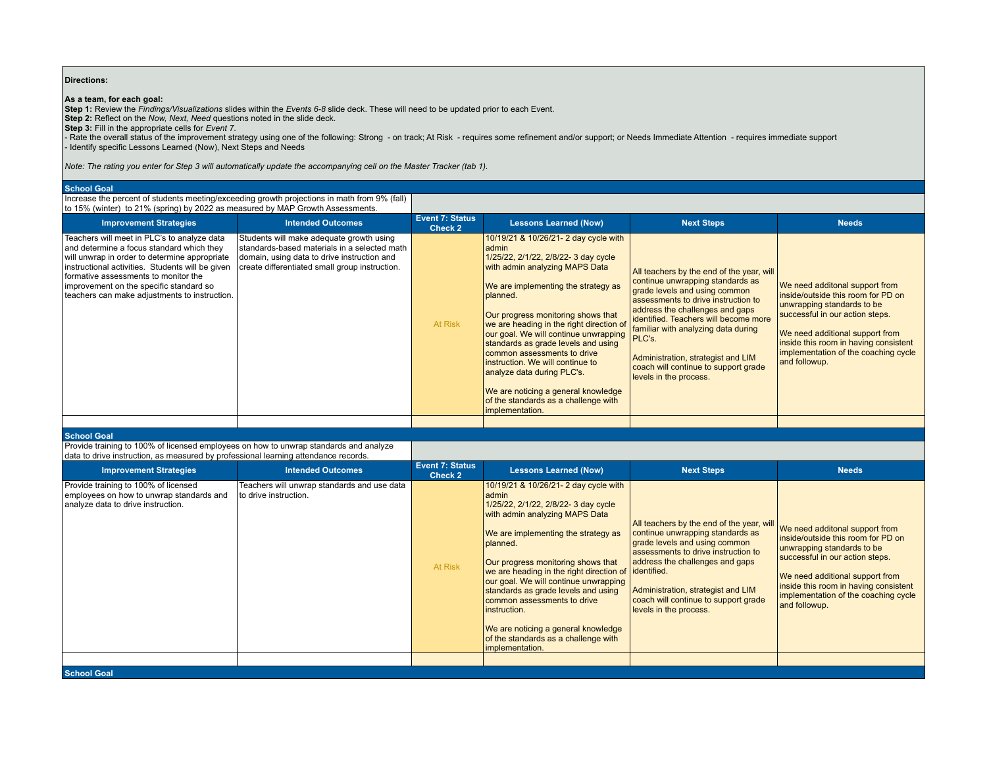## **Directions:**

**As a team, for each goal:**<br>St**ep 1:** Review the *Findings/Visualizations* slides within the *Events 6-8* slide deck. These will need to be updated prior to each Event.<br>Step 2: Reflect on the *Now, Next, Need* questions n

- Rate the overall status of the improvement strategy using one of the following: Strong - on track; At Risk - requires some refinement and/or support; or Needs Immediate Attention - requires immediate support - Identify specific Lessons Learned (Now), Next Steps and Needs

*Note: The rating you enter for Step 3 will automatically update the accompanying cell on the Master Tracker (tab 1).*

## **School Goal**

Increase the percent of students meeting/exceeding growth projections in math from 9% (fall) to 15% (winter) to 21% (spring) by 2022 as measured by MAP Growth Assessments.

| <b>Improvement Strategies</b>                                                                                                                                                                                                                                                                                                     | <b>Intended Outcomes</b>                                                                                                                                                                  | <b>Event 7: Status</b><br>Check 2 | <b>Lessons Learned (Now)</b>                                                                                                                                                                                                                                                                                                                                                                                                                                                                                                                                  | <b>Next Steps</b>                                                                                                                                                                                                                                                                                                                                                                | <b>Needs</b>                                                                                                                                                                                                                                                               |
|-----------------------------------------------------------------------------------------------------------------------------------------------------------------------------------------------------------------------------------------------------------------------------------------------------------------------------------|-------------------------------------------------------------------------------------------------------------------------------------------------------------------------------------------|-----------------------------------|---------------------------------------------------------------------------------------------------------------------------------------------------------------------------------------------------------------------------------------------------------------------------------------------------------------------------------------------------------------------------------------------------------------------------------------------------------------------------------------------------------------------------------------------------------------|----------------------------------------------------------------------------------------------------------------------------------------------------------------------------------------------------------------------------------------------------------------------------------------------------------------------------------------------------------------------------------|----------------------------------------------------------------------------------------------------------------------------------------------------------------------------------------------------------------------------------------------------------------------------|
| Teachers will meet in PLC's to analyze data<br>and determine a focus standard which they<br>will unwrap in order to determine appropriate<br>instructional activities. Students will be given<br>formative assessments to monitor the<br>improvement on the specific standard so<br>teachers can make adjustments to instruction. | Students will make adequate growth using<br>standards-based materials in a selected math<br>domain, using data to drive instruction and<br>create differentiated small group instruction. | At Risk                           | 10/19/21 & 10/26/21-2 day cycle with<br>admin<br>1/25/22, 2/1/22, 2/8/22-3 day cycle<br>with admin analyzing MAPS Data<br>We are implementing the strategy as<br>planned.<br>Our progress monitoring shows that<br>we are heading in the right direction of<br>our goal. We will continue unwrapping <b>PLC's</b> .<br>standards as grade levels and using<br>common assessments to drive<br>instruction. We will continue to<br>analyze data during PLC's.<br>We are noticing a general knowledge<br>of the standards as a challenge with<br>implementation. | All teachers by the end of the year, will<br>continue unwrapping standards as<br>grade levels and using common<br>assessments to drive instruction to<br>address the challenges and gaps<br>identified. Teachers will become more<br>familiar with analyzing data during<br>Administration, strategist and LIM<br>coach will continue to support grade<br>levels in the process. | We need additonal support from<br>inside/outside this room for PD on<br>unwrapping standards to be<br>successful in our action steps.<br>We need additional support from<br>inside this room in having consistent<br>implementation of the coaching cycle<br>and followup. |
|                                                                                                                                                                                                                                                                                                                                   |                                                                                                                                                                                           |                                   |                                                                                                                                                                                                                                                                                                                                                                                                                                                                                                                                                               |                                                                                                                                                                                                                                                                                                                                                                                  |                                                                                                                                                                                                                                                                            |

## **School Goal**

Provide training to 100% of licensed employees on how to unwrap standards and analyze data to drive instruction, as measured by professional learning attendance records.

| udid to any chistraction, as measured by professional learning attendance records.                                     |                                                                        |                                   |                                                                                                                                                                                                                                                                                                                                                                                                                                                                                                            |                                                                                                                                                                                                                                                                                                  |                                                                                                                                                                                                                                                                            |
|------------------------------------------------------------------------------------------------------------------------|------------------------------------------------------------------------|-----------------------------------|------------------------------------------------------------------------------------------------------------------------------------------------------------------------------------------------------------------------------------------------------------------------------------------------------------------------------------------------------------------------------------------------------------------------------------------------------------------------------------------------------------|--------------------------------------------------------------------------------------------------------------------------------------------------------------------------------------------------------------------------------------------------------------------------------------------------|----------------------------------------------------------------------------------------------------------------------------------------------------------------------------------------------------------------------------------------------------------------------------|
| <b>Improvement Strategies</b>                                                                                          | <b>Intended Outcomes</b>                                               | <b>Event 7: Status</b><br>Check 2 | <b>Lessons Learned (Now)</b>                                                                                                                                                                                                                                                                                                                                                                                                                                                                               | <b>Next Steps</b>                                                                                                                                                                                                                                                                                | <b>Needs</b>                                                                                                                                                                                                                                                               |
| Provide training to 100% of licensed<br>employees on how to unwrap standards and<br>analyze data to drive instruction. | Teachers will unwrap standards and use data<br>l to drive instruction. | At Risk                           | 10/19/21 & 10/26/21- 2 day cycle with<br>admin<br>1/25/22, 2/1/22, 2/8/22-3 day cycle<br>with admin analyzing MAPS Data<br>We are implementing the strategy as<br>planned.<br>Our progress monitoring shows that<br>we are heading in the right direction of lidentified.<br>our goal. We will continue unwrapping<br>standards as grade levels and using<br>common assessments to drive<br>instruction.<br>We are noticing a general knowledge<br>of the standards as a challenge with<br>implementation. | All teachers by the end of the year, will<br>continue unwrapping standards as<br>grade levels and using common<br>assessments to drive instruction to<br>address the challenges and gaps<br>Administration, strategist and LIM<br>coach will continue to support grade<br>levels in the process. | We need additonal support from<br>inside/outside this room for PD on<br>unwrapping standards to be<br>successful in our action steps.<br>We need additional support from<br>inside this room in having consistent<br>implementation of the coaching cycle<br>and followup. |
| <b>School Goal</b>                                                                                                     |                                                                        |                                   |                                                                                                                                                                                                                                                                                                                                                                                                                                                                                                            |                                                                                                                                                                                                                                                                                                  |                                                                                                                                                                                                                                                                            |